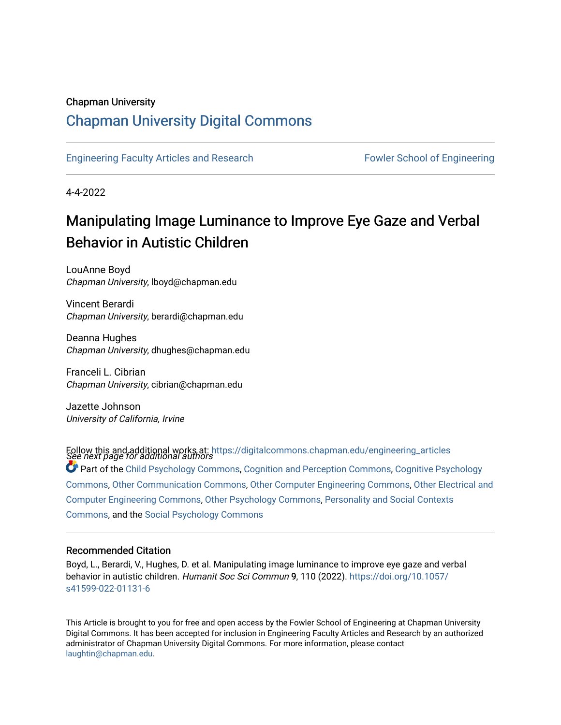## Chapman University

## [Chapman University Digital Commons](https://digitalcommons.chapman.edu/)

[Engineering Faculty Articles and Research](https://digitalcommons.chapman.edu/engineering_articles) [Fowler School of Engineering](https://digitalcommons.chapman.edu/fowler_engineering) 

4-4-2022

## Manipulating Image Luminance to Improve Eye Gaze and Verbal Behavior in Autistic Children

LouAnne Boyd Chapman University, lboyd@chapman.edu

Vincent Berardi Chapman University, berardi@chapman.edu

Deanna Hughes Chapman University, dhughes@chapman.edu

Franceli L. Cibrian Chapman University, cibrian@chapman.edu

Jazette Johnson University of California, Irvine

Follow this and additional works at: https://digitalcommons.chapman.edu/engineering\_articles<br>See next page for additional authors  $\bullet$  Part of the [Child Psychology Commons,](http://network.bepress.com/hgg/discipline/1023?utm_source=digitalcommons.chapman.edu%2Fengineering_articles%2F140&utm_medium=PDF&utm_campaign=PDFCoverPages) [Cognition and Perception Commons](http://network.bepress.com/hgg/discipline/407?utm_source=digitalcommons.chapman.edu%2Fengineering_articles%2F140&utm_medium=PDF&utm_campaign=PDFCoverPages), Cognitive Psychology [Commons](http://network.bepress.com/hgg/discipline/408?utm_source=digitalcommons.chapman.edu%2Fengineering_articles%2F140&utm_medium=PDF&utm_campaign=PDFCoverPages), [Other Communication Commons,](http://network.bepress.com/hgg/discipline/339?utm_source=digitalcommons.chapman.edu%2Fengineering_articles%2F140&utm_medium=PDF&utm_campaign=PDFCoverPages) [Other Computer Engineering Commons](http://network.bepress.com/hgg/discipline/265?utm_source=digitalcommons.chapman.edu%2Fengineering_articles%2F140&utm_medium=PDF&utm_campaign=PDFCoverPages), [Other Electrical and](http://network.bepress.com/hgg/discipline/278?utm_source=digitalcommons.chapman.edu%2Fengineering_articles%2F140&utm_medium=PDF&utm_campaign=PDFCoverPages)  [Computer Engineering Commons](http://network.bepress.com/hgg/discipline/278?utm_source=digitalcommons.chapman.edu%2Fengineering_articles%2F140&utm_medium=PDF&utm_campaign=PDFCoverPages), [Other Psychology Commons](http://network.bepress.com/hgg/discipline/415?utm_source=digitalcommons.chapman.edu%2Fengineering_articles%2F140&utm_medium=PDF&utm_campaign=PDFCoverPages), [Personality and Social Contexts](http://network.bepress.com/hgg/discipline/413?utm_source=digitalcommons.chapman.edu%2Fengineering_articles%2F140&utm_medium=PDF&utm_campaign=PDFCoverPages) [Commons](http://network.bepress.com/hgg/discipline/413?utm_source=digitalcommons.chapman.edu%2Fengineering_articles%2F140&utm_medium=PDF&utm_campaign=PDFCoverPages), and the [Social Psychology Commons](http://network.bepress.com/hgg/discipline/414?utm_source=digitalcommons.chapman.edu%2Fengineering_articles%2F140&utm_medium=PDF&utm_campaign=PDFCoverPages)

### Recommended Citation

Boyd, L., Berardi, V., Hughes, D. et al. Manipulating image luminance to improve eye gaze and verbal behavior in autistic children. Humanit Soc Sci Commun 9, 110 (2022). [https://doi.org/10.1057/](https://doi.org/10.1057/s41599-022-01131-6) [s41599-022-01131-6](https://doi.org/10.1057/s41599-022-01131-6) 

This Article is brought to you for free and open access by the Fowler School of Engineering at Chapman University Digital Commons. It has been accepted for inclusion in Engineering Faculty Articles and Research by an authorized administrator of Chapman University Digital Commons. For more information, please contact [laughtin@chapman.edu.](mailto:laughtin@chapman.edu)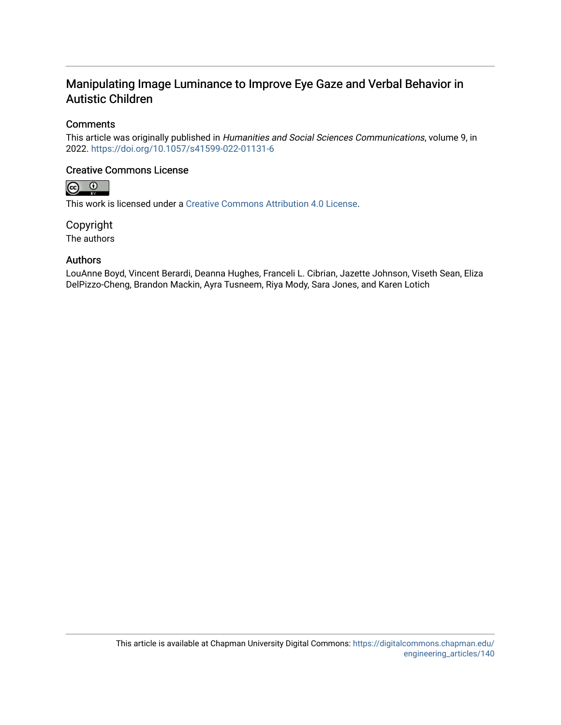## Manipulating Image Luminance to Improve Eye Gaze and Verbal Behavior in Autistic Children

## **Comments**

This article was originally published in Humanities and Social Sciences Communications, volume 9, in 2022. <https://doi.org/10.1057/s41599-022-01131-6>

## Creative Commons License



This work is licensed under a [Creative Commons Attribution 4.0 License](https://creativecommons.org/licenses/by/4.0/).

Copyright The authors

## Authors

LouAnne Boyd, Vincent Berardi, Deanna Hughes, Franceli L. Cibrian, Jazette Johnson, Viseth Sean, Eliza DelPizzo-Cheng, Brandon Mackin, Ayra Tusneem, Riya Mody, Sara Jones, and Karen Lotich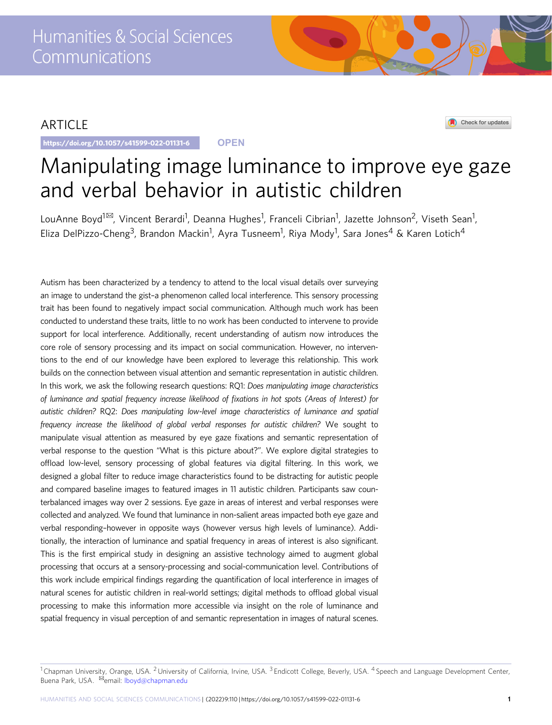## ARTICLE

https://doi.org/10.1057/s41599-022-01131-6 **OPEN**

Check for updates

# Manipulating image luminance to improve eye gaze and verbal behavior in autistic children

LouAnne Boyd<sup>1⊠</sup>, Vincent Berardi<sup>1</sup>, Deanna Hughes<sup>1</sup>, Franceli Cibrian<sup>1</sup>, Jazette Johnson<sup>2</sup>, Viseth Sean<sup>1</sup>, Eliza DelPizzo-Cheng<sup>3</sup>, Brandon Mackin<sup>1</sup>, Ayra Tusneem<sup>1</sup>, Riya Mody<sup>1</sup>, Sara Jones<sup>4</sup> & Karen Lotich<sup>4</sup>

Autism has been characterized by a tendency to attend to the local visual details over surveying an image to understand the gist–a phenomenon called local interference. This sensory processing trait has been found to negatively impact social communication. Although much work has been conducted to understand these traits, little to no work has been conducted to intervene to provide support for local interference. Additionally, recent understanding of autism now introduces the core role of sensory processing and its impact on social communication. However, no interventions to the end of our knowledge have been explored to leverage this relationship. This work builds on the connection between visual attention and semantic representation in autistic children. In this work, we ask the following research questions: RQ1: Does manipulating image characteristics of luminance and spatial frequency increase likelihood of fixations in hot spots (Areas of Interest) for autistic children? RQ2: Does manipulating low-level image characteristics of luminance and spatial frequency increase the likelihood of global verbal responses for autistic children? We sought to manipulate visual attention as measured by eye gaze fixations and semantic representation of verbal response to the question "What is this picture about?". We explore digital strategies to offload low-level, sensory processing of global features via digital filtering. In this work, we designed a global filter to reduce image characteristics found to be distracting for autistic people and compared baseline images to featured images in 11 autistic children. Participants saw counterbalanced images way over 2 sessions. Eye gaze in areas of interest and verbal responses were collected and analyzed. We found that luminance in non-salient areas impacted both eye gaze and verbal responding–however in opposite ways (however versus high levels of luminance). Additionally, the interaction of luminance and spatial frequency in areas of interest is also significant. This is the first empirical study in designing an assistive technology aimed to augment global processing that occurs at a sensory-processing and social-communication level. Contributions of this work include empirical findings regarding the quantification of local interference in images of natural scenes for autistic children in real-world settings; digital methods to offload global visual processing to make this information more accessible via insight on the role of luminance and spatial frequency in visual perception of and semantic representation in images of natural scenes.

 $1$ Chapman University, Orange, USA. <sup>2</sup> University of California, Irvine, USA.  $3$  Endicott College, Beverly, USA.  $4$  Speech and Language Development Center, Buena Park, USA. <sup>⊠</sup>email: [lboyd@chapman.edu](mailto:lboyd@chapman.edu)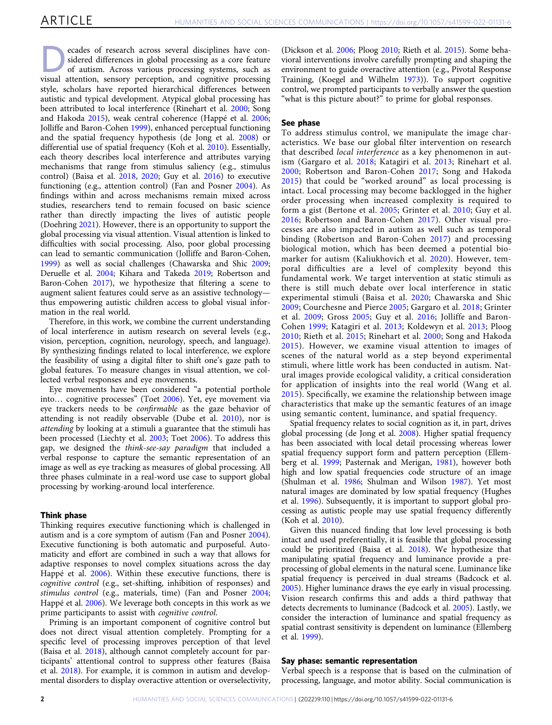ecades of research across several disciplines have considered differences in global processing as a core feature of autism. Across various processing systems, such as visual attention, sensory perception, and cognitive processing style, scholars have reported hierarchical differences between autistic and typical development. Atypical global processing has been attributed to local interference (Rinehart et al. [2000](#page-10-0); Song and Hakoda [2015](#page-10-0)), weak central coherence (Happé et al. [2006;](#page-9-0) Jolliffe and Baron-Cohen [1999](#page-10-0)), enhanced perceptual functioning and the spatial frequency hypothesis (de Jong et al. [2008\)](#page-9-0) or differential use of spatial frequency (Koh et al. [2010\)](#page-10-0). Essentially, each theory describes local interference and attributes varying mechanisms that range from stimulus saliency (e.g., stimulus control) (Baisa et al. [2018](#page-9-0), [2020;](#page-9-0) Guy et al. [2016](#page-9-0)) to executive functioning (e.g., attention control) (Fan and Posner [2004\)](#page-9-0). As findings within and across mechanisms remain mixed across studies, researchers tend to remain focused on basic science rather than directly impacting the lives of autistic people (Doehring [2021](#page-9-0)). However, there is an opportunity to support the global processing via visual attention. Visual attention is linked to difficulties with social processing. Also, poor global processing can lead to semantic communication (Jolliffe and Baron-Cohen, [1999\)](#page-10-0) as well as social challenges (Chawarska and Shic [2009;](#page-9-0) Deruelle et al. [2004](#page-9-0); Kihara and Takeda [2019;](#page-10-0) Robertson and Baron-Cohen [2017](#page-10-0)), we hypothesize that filtering a scene to augment salient features could serve as an assistive technology thus empowering autistic children access to global visual information in the real world.

Therefore, in this work, we combine the current understanding of local interference in autism research on several levels (e.g., vision, perception, cognition, neurology, speech, and language). By synthesizing findings related to local interference, we explore the feasibility of using a digital filter to shift one's gaze path to global features. To measure changes in visual attention, we collected verbal responses and eye movements.

Eye movements have been considered "a potential porthole into… cognitive processes" (Toet [2006](#page-10-0)). Yet, eye movement via eye trackers needs to be confirmable as the gaze behavior of attending is not readily observable (Dube et al. [2010\)](#page-9-0), nor is attending by looking at a stimuli a guarantee that the stimuli has been processed (Liechty et al. [2003](#page-10-0); Toet [2006\)](#page-10-0). To address this gap, we designed the think-see-say paradigm that included a verbal response to capture the semantic representation of an image as well as eye tracking as measures of global processing. All three phases culminate in a real-word use case to support global processing by working-around local interference.

#### Think phase

Thinking requires executive functioning which is challenged in autism and is a core symptom of autism (Fan and Posner [2004](#page-9-0)). Executive functioning is both automatic and purposeful. Automaticity and effort are combined in such a way that allows for adaptive responses to novel complex situations across the day Happé et al. [2006\)](#page-9-0). Within these executive functions, there is cognitive control (e.g., set-shifting, inhibition of responses) and stimulus control (e.g., materials, time) (Fan and Posner [2004;](#page-9-0) Happé et al. [2006](#page-9-0)). We leverage both concepts in this work as we prime participants to assist with cognitive control.

Priming is an important component of cognitive control but does not direct visual attention completely. Prompting for a specific level of processing improves perception of that level (Baisa et al. [2018\)](#page-9-0), although cannot completely account for participants' attentional control to suppress other features (Baisa et al. [2018\)](#page-9-0). For example, it is common in autism and developmental disorders to display overactive attention or overselectivity,

(Dickson et al. [2006](#page-9-0); Ploog [2010](#page-10-0); Rieth et al. [2015\)](#page-10-0). Some behavioral interventions involve carefully prompting and shaping the environment to guide overactive attention (e.g., Pivotal Response Training, (Koegel and Wilhelm [1973\)](#page-10-0)). To support cognitive control, we prompted participants to verbally answer the question "what is this picture about?" to prime for global responses.

#### See phase

To address stimulus control, we manipulate the image characteristics. We base our global filter intervention on research that described local interference as a key phenomenon in autism (Gargaro et al. [2018;](#page-9-0) Katagiri et al. [2013;](#page-10-0) Rinehart et al. [2000;](#page-10-0) Robertson and Baron-Cohen [2017;](#page-10-0) Song and Hakoda [2015\)](#page-10-0) that could be "worked around" as local processing is intact. Local processing may become backlogged in the higher order processing when increased complexity is required to form a gist (Bertone et al. [2005;](#page-9-0) Grinter et al. [2010;](#page-9-0) Guy et al. [2016;](#page-9-0) Robertson and Baron-Cohen [2017\)](#page-10-0). Other visual processes are also impacted in autism as well such as temporal binding (Robertson and Baron-Cohen [2017](#page-10-0)) and processing biological motion, which has been deemed a potential biomarker for autism (Kaliukhovich et al. [2020\)](#page-10-0). However, temporal difficulties are a level of complexity beyond this fundamental work. We target intervention at static stimuli as there is still much debate over local interference in static experimental stimuli (Baisa et al. [2020;](#page-9-0) Chawarska and Shic [2009;](#page-9-0) Courchesne and Pierce [2005;](#page-9-0) Gargaro et al. [2018;](#page-9-0) Grinter et al. [2009;](#page-9-0) Gross [2005;](#page-9-0) Guy et al. [2016](#page-9-0); Jolliffe and Baron-Cohen [1999;](#page-10-0) Katagiri et al. [2013;](#page-10-0) Koldewyn et al. [2013;](#page-10-0) Ploog [2010;](#page-10-0) Rieth et al. [2015;](#page-10-0) Rinehart et al. [2000;](#page-10-0) Song and Hakoda [2015\)](#page-10-0). However, we examine visual attention to images of scenes of the natural world as a step beyond experimental stimuli, where little work has been conducted in autism. Natural images provide ecological validity, a critical consideration for application of insights into the real world (Wang et al. [2015\)](#page-10-0). Specifically, we examine the relationship between image characteristics that make up the semantic features of an image using semantic content, luminance, and spatial frequency.

Spatial frequency relates to social cognition as it, in part, drives global processing (de Jong et al. [2008\)](#page-9-0). Higher spatial frequency has been associated with local detail processing whereas lower spatial frequency support form and pattern perception (Ellemberg et al. [1999](#page-9-0); Pasternak and Merigan, [1981\)](#page-10-0), however both high and low spatial frequencies code structure of an image (Shulman et al. [1986](#page-10-0); Shulman and Wilson [1987\)](#page-10-0). Yet most natural images are dominated by low spatial frequency (Hughes et al. [1996\)](#page-10-0). Subsequently, it is important to support global processing as autistic people may use spatial frequency differently (Koh et al. [2010\)](#page-10-0).

Given this nuanced finding that low level processing is both intact and used preferentially, it is feasible that global processing could be prioritized (Baisa et al. [2018\)](#page-9-0). We hypothesize that manipulating spatial frequency and luminance provide a preprocessing of global elements in the natural scene. Luminance like spatial frequency is perceived in dual streams (Badcock et al. [2005\)](#page-9-0). Higher luminance draws the eye early in visual processing. Vision research confirms this and adds a third pathway that detects decrements to luminance (Badcock et al. [2005\)](#page-9-0). Lastly, we consider the interaction of luminance and spatial frequency as spatial contrast sensitivity is dependent on luminance (Ellemberg et al. [1999](#page-9-0)).

#### Say phase: semantic representation

Verbal speech is a response that is based on the culmination of processing, language, and motor ability. Social communication is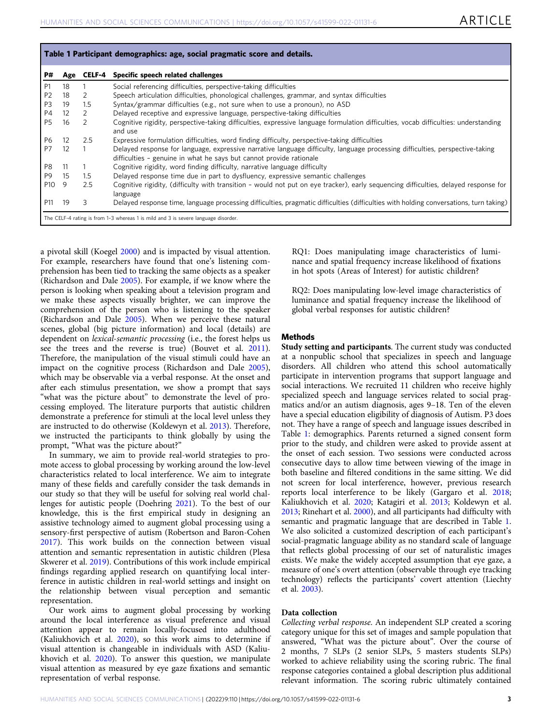<span id="page-4-0"></span>

| Table 1 Participant demographics: age, social pragmatic score and details.         |                   |         |                                                                                                                                                                                                      |  |  |  |  |
|------------------------------------------------------------------------------------|-------------------|---------|------------------------------------------------------------------------------------------------------------------------------------------------------------------------------------------------------|--|--|--|--|
| P#                                                                                 | Age               | CELF-4  | Specific speech related challenges                                                                                                                                                                   |  |  |  |  |
| P1                                                                                 | 18                |         | Social referencing difficulties, perspective-taking difficulties                                                                                                                                     |  |  |  |  |
| P <sub>2</sub>                                                                     | 18                | 2       | Speech articulation difficulties, phonological challenges, grammar, and syntax difficulties                                                                                                          |  |  |  |  |
| P <sub>3</sub>                                                                     | 19                | 1.5     | Syntax/grammar difficulties (e.g., not sure when to use a pronoun), no ASD                                                                                                                           |  |  |  |  |
| P4                                                                                 | $12 \overline{ }$ | 2       | Delayed receptive and expressive language, perspective-taking difficulties                                                                                                                           |  |  |  |  |
| <b>P5</b>                                                                          | 16                | 2       | Cognitive rigidity, perspective-taking difficulties, expressive language formulation difficulties, vocab difficulties: understanding<br>and use                                                      |  |  |  |  |
| <b>P6</b>                                                                          | 12                | 2.5     | Expressive formulation difficulties, word finding difficulty, perspective-taking difficulties                                                                                                        |  |  |  |  |
| P7                                                                                 | 12                |         | Delayed response for language, expressive narrative language difficulty, language processing difficulties, perspective-taking<br>difficulties - genuine in what he says but cannot provide rationale |  |  |  |  |
| P8                                                                                 | -11               |         | Cognitive rigidity, word finding difficulty, narrative language difficulty                                                                                                                           |  |  |  |  |
| P <sub>9</sub>                                                                     | 15                | $1.5\,$ | Delayed response time due in part to dysfluency, expressive semantic challenges                                                                                                                      |  |  |  |  |
| P <sub>10</sub>                                                                    | 9                 | 2.5     | Cognitive rigidity, (difficulty with transition - would not put on eye tracker), early sequencing difficulties, delayed response for<br>language                                                     |  |  |  |  |
| P11                                                                                | 19                | 3       | Delayed response time, language processing difficulties, pragmatic difficulties (difficulties with holding conversations, turn taking)                                                               |  |  |  |  |
| The CELF-4 rating is from 1-3 whereas 1 is mild and 3 is severe language disorder. |                   |         |                                                                                                                                                                                                      |  |  |  |  |

a pivotal skill (Koegel [2000](#page-10-0)) and is impacted by visual attention. For example, researchers have found that one's listening comprehension has been tied to tracking the same objects as a speaker (Richardson and Dale [2005](#page-10-0)). For example, if we know where the person is looking when speaking about a television program and we make these aspects visually brighter, we can improve the comprehension of the person who is listening to the speaker (Richardson and Dale [2005](#page-10-0)). When we perceive these natural scenes, global (big picture information) and local (details) are dependent on lexical-semantic processing (i.e., the forest helps us see the trees and the reverse is true) (Bouvet et al. [2011](#page-9-0)). Therefore, the manipulation of the visual stimuli could have an impact on the cognitive process (Richardson and Dale [2005](#page-10-0)), which may be observable via a verbal response. At the onset and after each stimulus presentation, we show a prompt that says "what was the picture about" to demonstrate the level of processing employed. The literature purports that autistic children demonstrate a preference for stimuli at the local level unless they are instructed to do otherwise (Koldewyn et al. [2013](#page-10-0)). Therefore, we instructed the participants to think globally by using the prompt, "What was the picture about?"

In summary, we aim to provide real-world strategies to promote access to global processing by working around the low-level characteristics related to local interference. We aim to integrate many of these fields and carefully consider the task demands in our study so that they will be useful for solving real world challenges for autistic people (Doehring [2021\)](#page-9-0). To the best of our knowledge, this is the first empirical study in designing an assistive technology aimed to augment global processing using a sensory-first perspective of autism (Robertson and Baron-Cohen [2017\)](#page-10-0). This work builds on the connection between visual attention and semantic representation in autistic children (Plesa Skwerer et al. [2019\)](#page-10-0). Contributions of this work include empirical findings regarding applied research on quantifying local interference in autistic children in real-world settings and insight on the relationship between visual perception and semantic representation.

Our work aims to augment global processing by working around the local interference as visual preference and visual attention appear to remain locally-focused into adulthood (Kaliukhovich et al. [2020](#page-10-0)), so this work aims to determine if visual attention is changeable in individuals with ASD (Kaliukhovich et al. [2020\)](#page-10-0). To answer this question, we manipulate visual attention as measured by eye gaze fixations and semantic representation of verbal response.

RQ1: Does manipulating image characteristics of luminance and spatial frequency increase likelihood of fixations in hot spots (Areas of Interest) for autistic children?

RQ2: Does manipulating low-level image characteristics of luminance and spatial frequency increase the likelihood of global verbal responses for autistic children?

#### **Methods**

Study setting and participants. The current study was conducted at a nonpublic school that specializes in speech and language disorders. All children who attend this school automatically participate in intervention programs that support language and social interactions. We recruited 11 children who receive highly specialized speech and language services related to social pragmatics and/or an autism diagnosis, ages 9–18. Ten of the eleven have a special education eligibility of diagnosis of Autism. P3 does not. They have a range of speech and language issues described in Table 1: demographics. Parents returned a signed consent form prior to the study, and children were asked to provide assent at the onset of each session. Two sessions were conducted across consecutive days to allow time between viewing of the image in both baseline and filtered conditions in the same sitting. We did not screen for local interference, however, previous research reports local interference to be likely (Gargaro et al. [2018;](#page-9-0) Kaliukhovich et al. [2020](#page-10-0); Katagiri et al. [2013](#page-10-0); Koldewyn et al. [2013;](#page-10-0) Rinehart et al. [2000\)](#page-10-0), and all participants had difficulty with semantic and pragmatic language that are described in Table 1. We also solicited a customized description of each participant's social-pragmatic language ability as no standard scale of language that reflects global processing of our set of naturalistic images exists. We make the widely accepted assumption that eye gaze, a measure of one's overt attention (observable through eye tracking technology) reflects the participants' covert attention (Liechty et al. [2003](#page-10-0)).

#### Data collection

Collecting verbal response. An independent SLP created a scoring category unique for this set of images and sample population that answered, "What was the picture about". Over the course of 2 months, 7 SLPs (2 senior SLPs, 5 masters students SLPs) worked to achieve reliability using the scoring rubric. The final response categories contained a global description plus additional relevant information. The scoring rubric ultimately contained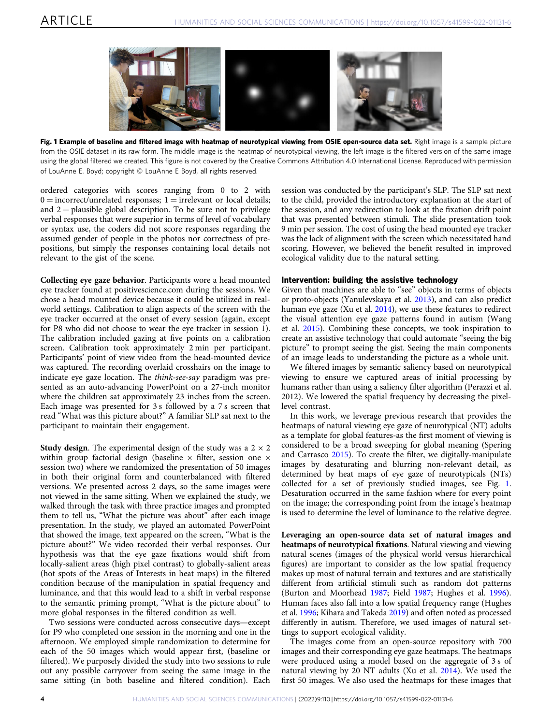

Fig. 1 Example of baseline and filtered image with heatmap of neurotypical viewing from OSIE open-source data set. Right image is a sample picture from the OSIE dataset in its raw form. The middle image is the heatmap of neurotypical viewing, the left image is the filtered version of the same image using the global filtered we created. This figure is not covered by the Creative Commons Attribution 4.0 International License. Reproduced with permission of LouAnne E. Boyd; copyright © LouAnne E Boyd, all rights reserved.

ordered categories with scores ranging from 0 to 2 with  $0 =$  incorrect/unrelated responses;  $1 =$  irrelevant or local details; and  $2$  = plausible global description. To be sure not to privilege verbal responses that were superior in terms of level of vocabulary or syntax use, the coders did not score responses regarding the assumed gender of people in the photos nor correctness of prepositions, but simply the responses containing local details not relevant to the gist of the scene.

Collecting eye gaze behavior. Participants wore a head mounted eye tracker found at positivescience.com during the sessions. We chose a head mounted device because it could be utilized in realworld settings. Calibration to align aspects of the screen with the eye tracker occurred at the onset of every session (again, except for P8 who did not choose to wear the eye tracker in session 1). The calibration included gazing at five points on a calibration screen. Calibration took approximately 2 min per participant. Participants' point of view video from the head-mounted device was captured. The recording overlaid crosshairs on the image to indicate eye gaze location. The think-see-say paradigm was presented as an auto-advancing PowerPoint on a 27-inch monitor where the children sat approximately 23 inches from the screen. Each image was presented for 3 s followed by a 7 s screen that read "What was this picture about?" A familiar SLP sat next to the participant to maintain their engagement.

**Study design.** The experimental design of the study was a  $2 \times 2$ within group factorial design (baseline  $\times$  filter, session one  $\times$ session two) where we randomized the presentation of 50 images in both their original form and counterbalanced with filtered versions. We presented across 2 days, so the same images were not viewed in the same sitting. When we explained the study, we walked through the task with three practice images and prompted them to tell us, "What the picture was about" after each image presentation. In the study, we played an automated PowerPoint that showed the image, text appeared on the screen, "What is the picture about?" We video recorded their verbal responses. Our hypothesis was that the eye gaze fixations would shift from locally-salient areas (high pixel contrast) to globally-salient areas (hot spots of the Areas of Interests in heat maps) in the filtered condition because of the manipulation in spatial frequency and luminance, and that this would lead to a shift in verbal response to the semantic priming prompt, "What is the picture about" to more global responses in the filtered condition as well.

Two sessions were conducted across consecutive days—except for P9 who completed one session in the morning and one in the afternoon. We employed simple randomization to determine for each of the 50 images which would appear first, (baseline or filtered). We purposely divided the study into two sessions to rule out any possible carryover from seeing the same image in the same sitting (in both baseline and filtered condition). Each

session was conducted by the participant's SLP. The SLP sat next to the child, provided the introductory explanation at the start of the session, and any redirection to look at the fixation drift point that was presented between stimuli. The slide presentation took 9 min per session. The cost of using the head mounted eye tracker was the lack of alignment with the screen which necessitated hand scoring. However, we believed the benefit resulted in improved ecological validity due to the natural setting.

#### Intervention: building the assistive technology

Given that machines are able to "see" objects in terms of objects or proto-objects (Yanulevskaya et al. [2013](#page-10-0)), and can also predict human eye gaze (Xu et al. [2014\)](#page-10-0), we use these features to redirect the visual attention eye gaze patterns found in autism (Wang et al. [2015](#page-10-0)). Combining these concepts, we took inspiration to create an assistive technology that could automate "seeing the big picture" to prompt seeing the gist. Seeing the main components of an image leads to understanding the picture as a whole unit.

We filtered images by semantic saliency based on neurotypical viewing to ensure we captured areas of initial processing by humans rather than using a saliency filter algorithm (Perazzi et al. 2012). We lowered the spatial frequency by decreasing the pixellevel contrast.

In this work, we leverage previous research that provides the heatmaps of natural viewing eye gaze of neurotypical (NT) adults as a template for global features-as the first moment of viewing is considered to be a broad sweeping for global meaning (Spering and Carrasco [2015\)](#page-10-0). To create the filter, we digitally-manipulate images by desaturating and blurring non-relevant detail, as determined by heat maps of eye gaze of neurotypicals (NTs) collected for a set of previously studied images, see Fig. 1. Desaturation occurred in the same fashion where for every point on the image; the corresponding point from the image's heatmap is used to determine the level of luminance to the relative degree.

Leveraging an open-source data set of natural images and heatmaps of neurotypical fixations. Natural viewing and viewing natural scenes (images of the physical world versus hierarchical figures) are important to consider as the low spatial frequency makes up most of natural terrain and textures and are statistically different from artificial stimuli such as random dot patterns (Burton and Moorhead [1987;](#page-9-0) Field [1987](#page-9-0); Hughes et al. [1996](#page-10-0)). Human faces also fall into a low spatial frequency range (Hughes et al. [1996;](#page-10-0) Kihara and Takeda [2019\)](#page-10-0) and often noted as processed differently in autism. Therefore, we used images of natural settings to support ecological validity.

The images come from an open-source repository with 700 images and their corresponding eye gaze heatmaps. The heatmaps were produced using a model based on the aggregate of 3 s of natural viewing by 20 NT adults (Xu et al. [2014](#page-10-0)). We used the first 50 images. We also used the heatmaps for these images that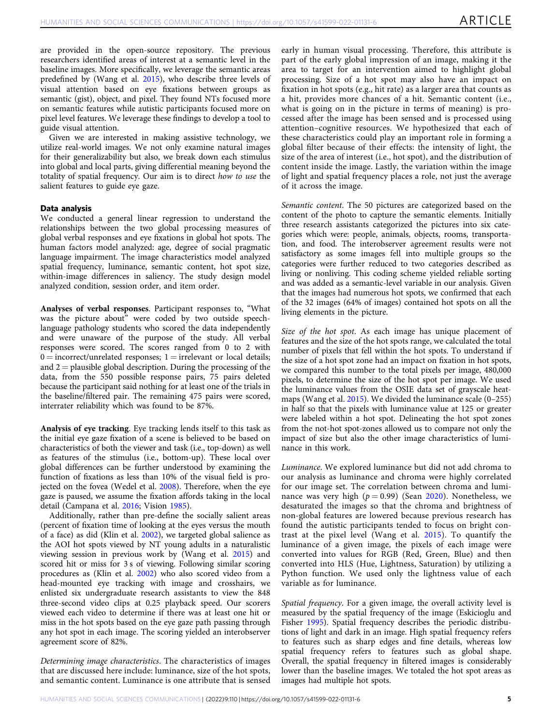are provided in the open-source repository. The previous researchers identified areas of interest at a semantic level in the baseline images. More specifically, we leverage the semantic areas predefined by (Wang et al. [2015](#page-10-0)), who describe three levels of visual attention based on eye fixations between groups as semantic (gist), object, and pixel. They found NTs focused more on semantic features while autistic participants focused more on pixel level features. We leverage these findings to develop a tool to guide visual attention.

Given we are interested in making assistive technology, we utilize real-world images. We not only examine natural images for their generalizability but also, we break down each stimulus into global and local parts, giving differential meaning beyond the totality of spatial frequency. Our aim is to direct how to use the salient features to guide eye gaze.

#### Data analysis

We conducted a general linear regression to understand the relationships between the two global processing measures of global verbal responses and eye fixations in global hot spots. The human factors model analyzed: age, degree of social pragmatic language impairment. The image characteristics model analyzed spatial frequency, luminance, semantic content, hot spot size, within-image differences in saliency. The study design model analyzed condition, session order, and item order.

Analyses of verbal responses. Participant responses to, "What was the picture about" were coded by two outside speechlanguage pathology students who scored the data independently and were unaware of the purpose of the study. All verbal responses were scored. The scores ranged from 0 to 2 with  $0 =$  incorrect/unrelated responses;  $1 =$  irrelevant or local details; and  $2$  = plausible global description. During the processing of the data, from the 550 possible response pairs, 75 pairs deleted because the participant said nothing for at least one of the trials in the baseline/filtered pair. The remaining 475 pairs were scored, interrater reliability which was found to be 87%.

Analysis of eye tracking. Eye tracking lends itself to this task as the initial eye gaze fixation of a scene is believed to be based on characteristics of both the viewer and task (i.e., top-down) as well as features of the stimulus (i.e., bottom-up). These local over global differences can be further understood by examining the function of fixations as less than 10% of the visual field is projected on the fovea (Wedel et al. [2008](#page-10-0)). Therefore, when the eye gaze is paused, we assume the fixation affords taking in the local detail (Campana et al. [2016](#page-9-0); Vision [1985](#page-10-0)).

Additionally, rather than pre-define the socially salient areas (percent of fixation time of looking at the eyes versus the mouth of a face) as did (Klin et al. [2002\)](#page-10-0), we targeted global salience as the AOI hot spots viewed by NT young adults in a naturalistic viewing session in previous work by (Wang et al. [2015](#page-10-0)) and scored hit or miss for 3 s of viewing. Following similar scoring procedures as (Klin et al. [2002\)](#page-10-0) who also scored video from a head-mounted eye tracking with image and crosshairs, we enlisted six undergraduate research assistants to view the 848 three-second video clips at 0.25 playback speed. Our scorers viewed each video to determine if there was at least one hit or miss in the hot spots based on the eye gaze path passing through any hot spot in each image. The scoring yielded an interobserver agreement score of 82%.

Determining image characteristics. The characteristics of images that are discussed here include: luminance, size of the hot spots, and semantic content. Luminance is one attribute that is sensed

early in human visual processing. Therefore, this attribute is part of the early global impression of an image, making it the area to target for an intervention aimed to highlight global processing. Size of a hot spot may also have an impact on fixation in hot spots (e.g., hit rate) as a larger area that counts as a hit, provides more chances of a hit. Semantic content (i.e., what is going on in the picture in terms of meaning) is processed after the image has been sensed and is processed using attention–cognitive resources. We hypothesized that each of these characteristics could play an important role in forming a global filter because of their effects: the intensity of light, the size of the area of interest (i.e., hot spot), and the distribution of content inside the image. Lastly, the variation within the image of light and spatial frequency places a role, not just the average of it across the image.

Semantic content. The 50 pictures are categorized based on the content of the photo to capture the semantic elements. Initially three research assistants categorized the pictures into six categories which were: people, animals, objects, rooms, transportation, and food. The interobserver agreement results were not satisfactory as some images fell into multiple groups so the categories were further reduced to two categories described as living or nonliving. This coding scheme yielded reliable sorting and was added as a semantic-level variable in our analysis. Given that the images had numerous hot spots, we confirmed that each of the 32 images (64% of images) contained hot spots on all the living elements in the picture.

Size of the hot spot. As each image has unique placement of features and the size of the hot spots range, we calculated the total number of pixels that fell within the hot spots. To understand if the size of a hot spot zone had an impact on fixation in hot spots, we compared this number to the total pixels per image, 480,000 pixels, to determine the size of the hot spot per image. We used the luminance values from the OSIE data set of grayscale heatmaps (Wang et al. [2015\)](#page-10-0). We divided the luminance scale (0–255) in half so that the pixels with luminance value at 125 or greater were labeled within a hot spot. Delineating the hot spot zones from the not-hot spot-zones allowed us to compare not only the impact of size but also the other image characteristics of luminance in this work.

Luminance. We explored luminance but did not add chroma to our analysis as luminance and chroma were highly correlated for our image set. The correlation between chroma and luminance was very high ( $p = 0.99$ ) (Sean [2020](#page-10-0)). Nonetheless, we desaturated the images so that the chroma and brightness of non-global features are lowered because previous research has found the autistic participants tended to focus on bright contrast at the pixel level (Wang et al. [2015](#page-10-0)). To quantify the luminance of a given image, the pixels of each image were converted into values for RGB (Red, Green, Blue) and then converted into HLS (Hue, Lightness, Saturation) by utilizing a Python function. We used only the lightness value of each variable as for luminance.

Spatial frequency. For a given image, the overall activity level is measured by the spatial frequency of the image (Eskicioglu and Fisher [1995](#page-9-0)). Spatial frequency describes the periodic distributions of light and dark in an image. High spatial frequency refers to features such as sharp edges and fine details, whereas low spatial frequency refers to features such as global shape. Overall, the spatial frequency in filtered images is considerably lower than the baseline images. We totaled the hot spot areas as images had multiple hot spots.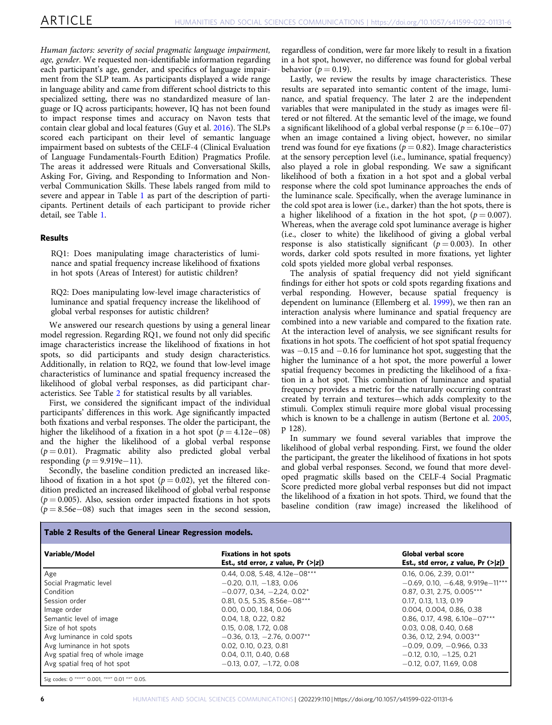Human factors: severity of social pragmatic language impairment, age, gender. We requested non-identifiable information regarding each participant's age, gender, and specifics of language impairment from the SLP team. As participants displayed a wide range in language ability and came from different school districts to this specialized setting, there was no standardized measure of language or IQ across participants; however, IQ has not been found to impact response times and accuracy on Navon tests that contain clear global and local features (Guy et al. [2016](#page-9-0)). The SLPs scored each participant on their level of semantic language impairment based on subtests of the CELF-4 (Clinical Evaluation of Language Fundamentals-Fourth Edition) Pragmatics Profile. The areas it addressed were Rituals and Conversational Skills, Asking For, Giving, and Responding to Information and Nonverbal Communication Skills. These labels ranged from mild to severe and appear in Table [1](#page-4-0) as part of the description of participants. Pertinent details of each participant to provide richer detail, see Table [1.](#page-4-0)

#### Results

RQ1: Does manipulating image characteristics of luminance and spatial frequency increase likelihood of fixations in hot spots (Areas of Interest) for autistic children?

RQ2: Does manipulating low-level image characteristics of luminance and spatial frequency increase the likelihood of global verbal responses for autistic children?

We answered our research questions by using a general linear model regression. Regarding RQ1, we found not only did specific image characteristics increase the likelihood of fixations in hot spots, so did participants and study design characteristics. Additionally, in relation to RQ2, we found that low-level image characteristics of luminance and spatial frequency increased the likelihood of global verbal responses, as did participant characteristics. See Table 2 for statistical results by all variables.

First, we considered the significant impact of the individual participants' differences in this work. Age significantly impacted both fixations and verbal responses. The older the participant, the higher the likelihood of a fixation in a hot spot ( $p = 4.12e - 08$ ) and the higher the likelihood of a global verbal response  $(p = 0.01)$ . Pragmatic ability also predicted global verbal responding ( $p = 9.919e-11$ ).

Secondly, the baseline condition predicted an increased likelihood of fixation in a hot spot ( $p = 0.02$ ), yet the filtered condition predicted an increased likelihood of global verbal response  $(p = 0.005)$ . Also, session order impacted fixations in hot spots  $(p = 8.56e-08)$  such that images seen in the second session,

regardless of condition, were far more likely to result in a fixation in a hot spot, however, no difference was found for global verbal behavior ( $p = 0.19$ ).

Lastly, we review the results by image characteristics. These results are separated into semantic content of the image, luminance, and spatial frequency. The later 2 are the independent variables that were manipulated in the study as images were filtered or not filtered. At the semantic level of the image, we found a significant likelihood of a global verbal response ( $p = 6.10e-07$ ) when an image contained a living object, however, no similar trend was found for eye fixations ( $p = 0.82$ ). Image characteristics at the sensory perception level (i.e., luminance, spatial frequency) also played a role in global responding. We saw a significant likelihood of both a fixation in a hot spot and a global verbal response where the cold spot luminance approaches the ends of the luminance scale. Specifically, when the average luminance in the cold spot area is lower (i.e., darker) than the hot spots, there is a higher likelihood of a fixation in the hot spot,  $(p = 0.007)$ . Whereas, when the average cold spot luminance average is higher (i.e., closer to white) the likelihood of giving a global verbal response is also statistically significant ( $p = 0.003$ ). In other words, darker cold spots resulted in more fixations, yet lighter cold spots yielded more global verbal responses.

The analysis of spatial frequency did not yield significant findings for either hot spots or cold spots regarding fixations and verbal responding. However, because spatial frequency is dependent on luminance (Ellemberg et al. [1999](#page-9-0)), we then ran an interaction analysis where luminance and spatial frequency are combined into a new variable and compared to the fixation rate. At the interaction level of analysis, we see significant results for fixations in hot spots. The coefficient of hot spot spatial frequency was −0.15 and −0.16 for luminance hot spot, suggesting that the higher the luminance of a hot spot, the more powerful a lower spatial frequency becomes in predicting the likelihood of a fixation in a hot spot. This combination of luminance and spatial frequency provides a metric for the naturally occurring contrast created by terrain and textures—which adds complexity to the stimuli. Complex stimuli require more global visual processing which is known to be a challenge in autism (Bertone et al. [2005,](#page-9-0) p 128).

In summary we found several variables that improve the likelihood of global verbal responding. First, we found the older the participant, the greater the likelihood of fixations in hot spots and global verbal responses. Second, we found that more developed pragmatic skills based on the CELF-4 Social Pragmatic Score predicted more global verbal responses but did not impact the likelihood of a fixation in hot spots. Third, we found that the baseline condition (raw image) increased the likelihood of

|  | Table 2 Results of the General Linear Regression models. |  |  |  |  |
|--|----------------------------------------------------------|--|--|--|--|
|--|----------------------------------------------------------|--|--|--|--|

| Variable/Model                  | <b>Fixations in hot spots</b><br>Est., std error, z value, $Pr$ (> z ) | Global verbal score<br>Est., std error, z value, $Pr$ (> z ) |
|---------------------------------|------------------------------------------------------------------------|--------------------------------------------------------------|
| Age                             | $0.44. 0.08. 5.48. 4.12e - 08***$                                      | $0.16. 0.06. 2.39. 0.01**$                                   |
| Social Pragmatic level          | $-0.20, 0.11, -1.83, 0.06$                                             | $-0.69, 0.10, -6.48, 9.919e-11***$                           |
| Condition                       | $-0.077, 0.34, -2.24, 0.02*$                                           | $0.87, 0.31, 2.75, 0.005***$                                 |
| Session order                   | 0.81, 0.5, 5.35, 8.56e $-08***$                                        | 0.17, 0.13, 1.13, 0.19                                       |
| Image order                     | 0.00, 0.00, 1.84, 0.06                                                 | 0.004, 0.004, 0.86, 0.38                                     |
| Semantic level of image         | 0.04, 1.8, 0.22, 0.82                                                  | 0.86, 0.17, 4.98, 6.10e $-07***$                             |
| Size of hot spots               | 0.15.0.08.1.72.0.08                                                    | 0.03, 0.08, 0.40, 0.68                                       |
| Avg luminance in cold spots     | $-0.36, 0.13, -2.76, 0.007**$                                          | $0.36, 0.12, 2.94, 0.003**$                                  |
| Avg luminance in hot spots      | 0.02, 0.10, 0.23, 0.81                                                 | $-0.09, 0.09, -0.966, 0.33$                                  |
| Avg spatial freg of whole image | 0.04, 0.11, 0.40, 0.68                                                 | $-0.12, 0.10, -1.25, 0.21$                                   |
| Avg spatial freq of hot spot    | $-0.13, 0.07, -1.72, 0.08$                                             | $-0.12, 0.07, 11.69, 0.08$                                   |
|                                 |                                                                        |                                                              |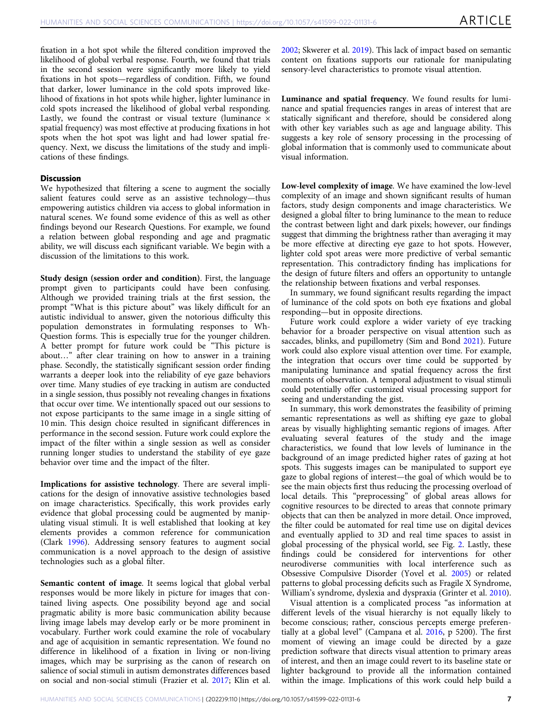fixation in a hot spot while the filtered condition improved the likelihood of global verbal response. Fourth, we found that trials in the second session were significantly more likely to yield fixations in hot spots—regardless of condition. Fifth, we found that darker, lower luminance in the cold spots improved likelihood of fixations in hot spots while higher, lighter luminance in cold spots increased the likelihood of global verbal responding. Lastly, we found the contrast or visual texture (luminance  $\times$ spatial frequency) was most effective at producing fixations in hot spots when the hot spot was light and had lower spatial frequency. Next, we discuss the limitations of the study and implications of these findings.

#### **Discussion**

We hypothesized that filtering a scene to augment the socially salient features could serve as an assistive technology—thus empowering autistics children via access to global information in natural scenes. We found some evidence of this as well as other findings beyond our Research Questions. For example, we found a relation between global responding and age and pragmatic ability, we will discuss each significant variable. We begin with a discussion of the limitations to this work.

Study design (session order and condition). First, the language prompt given to participants could have been confusing. Although we provided training trials at the first session, the prompt "What is this picture about" was likely difficult for an autistic individual to answer, given the notorious difficulty this population demonstrates in formulating responses to Wh-Question forms. This is especially true for the younger children. A better prompt for future work could be "This picture is about…" after clear training on how to answer in a training phase. Secondly, the statistically significant session order finding warrants a deeper look into the reliability of eye gaze behaviors over time. Many studies of eye tracking in autism are conducted in a single session, thus possibly not revealing changes in fixations that occur over time. We intentionally spaced out our sessions to not expose participants to the same image in a single sitting of 10 min. This design choice resulted in significant differences in performance in the second session. Future work could explore the impact of the filter within a single session as well as consider running longer studies to understand the stability of eye gaze behavior over time and the impact of the filter.

Implications for assistive technology. There are several implications for the design of innovative assistive technologies based on image characteristics. Specifically, this work provides early evidence that global processing could be augmented by manipulating visual stimuli. It is well established that looking at key elements provides a common reference for communication (Clark [1996](#page-9-0)). Addressing sensory features to augment social communication is a novel approach to the design of assistive technologies such as a global filter.

Semantic content of image. It seems logical that global verbal responses would be more likely in picture for images that contained living aspects. One possibility beyond age and social pragmatic ability is more basic communication ability because living image labels may develop early or be more prominent in vocabulary. Further work could examine the role of vocabulary and age of acquisition in semantic representation. We found no difference in likelihood of a fixation in living or non-living images, which may be surprising as the canon of research on salience of social stimuli in autism demonstrates differences based on social and non-social stimuli (Frazier et al. [2017;](#page-9-0) Klin et al.

[2002;](#page-10-0) Skwerer et al. [2019](#page-10-0)). This lack of impact based on semantic content on fixations supports our rationale for manipulating sensory-level characteristics to promote visual attention.

Luminance and spatial frequency. We found results for luminance and spatial frequencies ranges in areas of interest that are statically significant and therefore, should be considered along with other key variables such as age and language ability. This suggests a key role of sensory processing in the processing of global information that is commonly used to communicate about visual information.

Low-level complexity of image. We have examined the low-level complexity of an image and shown significant results of human factors, study design components and image characteristics. We designed a global filter to bring luminance to the mean to reduce the contrast between light and dark pixels; however, our findings suggest that dimming the brightness rather than averaging it may be more effective at directing eye gaze to hot spots. However, lighter cold spot areas were more predictive of verbal semantic representation. This contradictory finding has implications for the design of future filters and offers an opportunity to untangle the relationship between fixations and verbal responses.

In summary, we found significant results regarding the impact of luminance of the cold spots on both eye fixations and global responding—but in opposite directions.

Future work could explore a wider variety of eye tracking behavior for a broader perspective on visual attention such as saccades, blinks, and pupillometry (Sim and Bond [2021](#page-10-0)). Future work could also explore visual attention over time. For example, the integration that occurs over time could be supported by manipulating luminance and spatial frequency across the first moments of observation. A temporal adjustment to visual stimuli could potentially offer customized visual processing support for seeing and understanding the gist.

In summary, this work demonstrates the feasibility of priming semantic representations as well as shifting eye gaze to global areas by visually highlighting semantic regions of images. After evaluating several features of the study and the image characteristics, we found that low levels of luminance in the background of an image predicted higher rates of gazing at hot spots. This suggests images can be manipulated to support eye gaze to global regions of interest—the goal of which would be to see the main objects first thus reducing the processing overload of local details. This "preprocessing" of global areas allows for cognitive resources to be directed to areas that connote primary objects that can then be analyzed in more detail. Once improved, the filter could be automated for real time use on digital devices and eventually applied to 3D and real time spaces to assist in global processing of the physical world, see Fig. [2.](#page-9-0) Lastly, these findings could be considered for interventions for other neurodiverse communities with local interference such as Obsessive Compulsive Disorder (Yovel et al. [2005](#page-10-0)) or related patterns to global processing deficits such as Fragile X Syndrome, William's syndrome, dyslexia and dyspraxia (Grinter et al. [2010](#page-9-0)).

Visual attention is a complicated process "as information at different levels of the visual hierarchy is not equally likely to become conscious; rather, conscious percepts emerge preferentially at a global level" (Campana et al. [2016,](#page-9-0) p 5200). The first moment of viewing an image could be directed by a gaze prediction software that directs visual attention to primary areas of interest, and then an image could revert to its baseline state or lighter background to provide all the information contained within the image. Implications of this work could help build a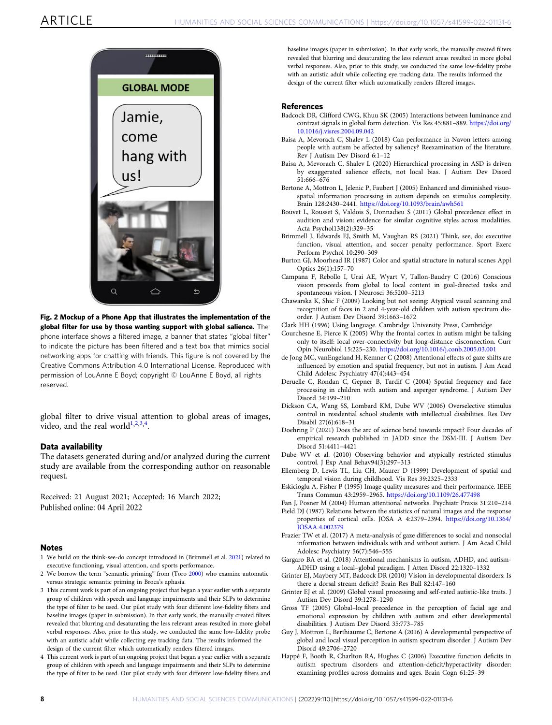<span id="page-9-0"></span>

Fig. 2 Mockup of a Phone App that illustrates the implementation of the global filter for use by those wanting support with global salience. The phone interface shows a filtered image, a banner that states "global filter" to indicate the picture has been filtered and a text box that mimics social networking apps for chatting with friends. This figure is not covered by the Creative Commons Attribution 4.0 International License. Reproduced with permission of LouAnne E Boyd; copyright © LouAnne E Boyd, all rights reserved.

global filter to drive visual attention to global areas of images, video, and the real world $1,2,3,4$ .

#### Data availability

The datasets generated during and/or analyzed during the current study are available from the corresponding author on reasonable request.

Received: 21 August 2021; Accepted: 16 March 2022; Published online: 04 April 2022

#### **Notes**

- 1 We build on the think-see-do concept introduced in (Brimmell et al. 2021) related to executive functioning, visual attention, and sports performance.
- 2 We borrow the term "semantic priming" from (Toro [2000](#page-10-0)) who examine automatic versus strategic semantic priming in Broca's aphasia.
- 3 This current work is part of an ongoing project that began a year earlier with a separate group of children with speech and language impairments and their SLPs to determine the type of filter to be used. Our pilot study with four different low-fidelity filters and baseline images (paper in submission). In that early work, the manually created filters revealed that blurring and desaturating the less relevant areas resulted in more global verbal responses. Also, prior to this study, we conducted the same low-fidelity probe with an autistic adult while collecting eye tracking data. The results informed the design of the current filter which automatically renders filtered images.
- 4 This current work is part of an ongoing project that began a year earlier with a separate group of children with speech and language impairments and their SLPs to determine the type of filter to be used. Our pilot study with four different low-fidelity filters and

baseline images (paper in submission). In that early work, the manually created filters revealed that blurring and desaturating the less relevant areas resulted in more global verbal responses. Also, prior to this study, we conducted the same low-fidelity probe with an autistic adult while collecting eye tracking data. The results informed the design of the current filter which automatically renders filtered images.

#### References

- Badcock DR, Clifford CWG, Khuu SK (2005) Interactions between luminance and contrast signals in global form detection. Vis Res 45:881–889. [https://doi.org/](https://doi.org/10.1016/j.visres.2004.09.042) [10.1016/j.visres.2004.09.042](https://doi.org/10.1016/j.visres.2004.09.042)
- Baisa A, Mevorach C, Shalev L (2018) Can performance in Navon letters among people with autism be affected by saliency? Reexamination of the literature. Rev J Autism Dev Disord 6:1–12
- Baisa A, Mevorach C, Shalev L (2020) Hierarchical processing in ASD is driven by exaggerated salience effects, not local bias. J Autism Dev Disord 51:666–676
- Bertone A, Mottron L, Jelenic P, Faubert J (2005) Enhanced and diminished visuospatial information processing in autism depends on stimulus complexity. Brain 128:2430–2441. <https://doi.org/10.1093/brain/awh561>
- Bouvet L, Rousset S, Valdois S, Donnadieu S (2011) Global precedence effect in audition and vision: evidence for similar cognitive styles across modalities. Acta Psychol138(2):329–35
- Brimmell J, Edwards EJ, Smith M, Vaughan RS (2021) Think, see, do: executive function, visual attention, and soccer penalty performance. Sport Exerc Perform Psychol 10:290–309
- Burton GJ, Moorhead IR (1987) Color and spatial structure in natural scenes Appl Optics 26(1):157–70
- Campana F, Rebollo I, Urai AE, Wyart V, Tallon-Baudry C (2016) Conscious vision proceeds from global to local content in goal-directed tasks and spontaneous vision. J Neurosci 36:5200–5213
- Chawarska K, Shic F (2009) Looking but not seeing: Atypical visual scanning and recognition of faces in 2 and 4-year-old children with autism spectrum disorder. J Autism Dev Disord 39:1663–1672
- Clark HH (1996) Using language. Cambridge University Press, Cambridge
- Courchesne E, Pierce K (2005) Why the frontal cortex in autism might be talking only to itself: local over-connectivity but long-distance disconnection. Curr Opin Neurobiol 15:225–230. <https://doi.org/10.1016/j.conb.2005.03.001>
- de Jong MC, vanEngeland H, Kemner C (2008) Attentional effects of gaze shifts are influenced by emotion and spatial frequency, but not in autism. J Am Acad Child Adolesc Psychiatry 47(4):443–454
- Deruelle C, Rondan C, Gepner B, Tardif C (2004) Spatial frequency and face processing in children with autism and asperger syndrome. J Autism Dev Disord 34:199–210
- Dickson CA, Wang SS, Lombard KM, Dube WV (2006) Overselective stimulus control in residential school students with intellectual disabilities. Res Dev Disabil 27(6):618–31
- Doehring P (2021) Does the arc of science bend towards impact? Four decades of empirical research published in JADD since the DSM-III. J Autism Dev Disord 51:4411–4421
- Dube WV et al. (2010) Observing behavior and atypically restricted stimulus control. J Exp Anal Behav94(3):297–313
- Ellemberg D, Lewis TL, Liu CH, Maurer D (1999) Development of spatial and temporal vision during childhood. Vis Res 39:2325–2333
- Eskicioglu A, Fisher P (1995) Image quality measures and their performance. IEEE Trans Commun 43:2959–2965. <https://doi.org/10.1109/26.477498>
- Fan J, Posner M (2004) Human attentional networks. Psychiatr Praxis 31:210–214
- Field DJ (1987) Relations between the statistics of natural images and the response properties of cortical cells. JOSA A 4:2379–2394. [https://doi.org/10.1364/](https://doi.org/10.1364/JOSAA.4.002379) [JOSAA.4.002379](https://doi.org/10.1364/JOSAA.4.002379)
- Frazier TW et al. (2017) A meta-analysis of gaze differences to social and nonsocial information between individuals with and without autism. J Am Acad Child Adolesc Psychiatry 56(7):546–555
- Gargaro BA et al. (2018) Attentional mechanisms in autism, ADHD, and autism-ADHD using a local–global paradigm. J Atten Disord 22:1320–1332
- Grinter EJ, Maybery MT, Badcock DR (2010) Vision in developmental disorders: Is there a dorsal stream deficit? Brain Res Bull 82:147–160
- Grinter EJ et al. (2009) Global visual processing and self-rated autistic-like traits. J Autism Dev Disord 39:1278–1290
- Gross TF (2005) Global–local precedence in the perception of facial age and emotional expression by children with autism and other developmental disabilities. J Autism Dev Disord 35:773–785
- Guy J, Mottron L, Berthiaume C, Bertone A (2016) A developmental perspective of global and local visual perception in autism spectrum disorder. J Autism Dev Disord 49:2706–2720
- Happé F, Booth R, Charlton RA, Hughes C (2006) Executive function deficits in autism spectrum disorders and attention-deficit/hyperactivity disorder: examining profiles across domains and ages. Brain Cogn 61:25–39